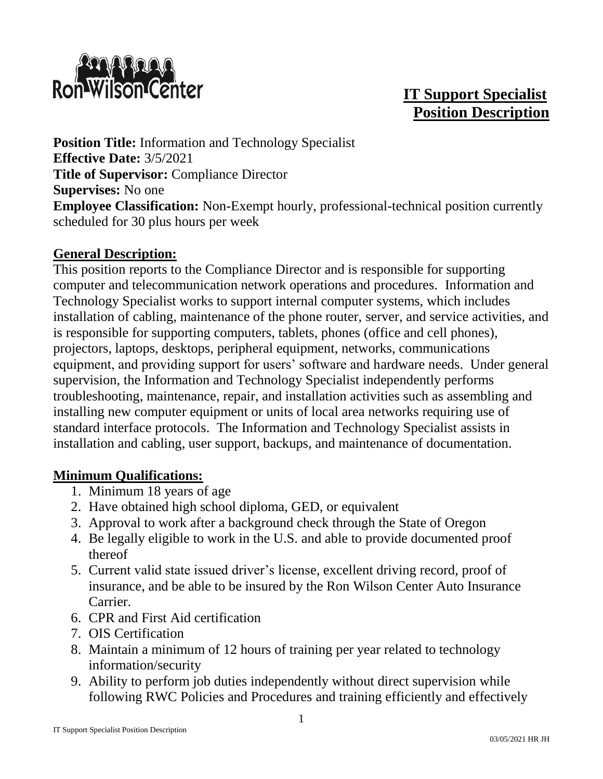

# **IT Support Specialist Position Description**

**Position Title:** Information and Technology Specialist **Effective Date:** 3/5/2021 **Title of Supervisor:** Compliance Director **Supervises:** No one **Employee Classification:** Non-Exempt hourly, professional-technical position currently scheduled for 30 plus hours per week

### **General Description:**

This position reports to the Compliance Director and is responsible for supporting computer and telecommunication network operations and procedures. Information and Technology Specialist works to support internal computer systems, which includes installation of cabling, maintenance of the phone router, server, and service activities, and is responsible for supporting computers, tablets, phones (office and cell phones), projectors, laptops, desktops, peripheral equipment, networks, communications equipment, and providing support for users' software and hardware needs. Under general supervision, the Information and Technology Specialist independently performs troubleshooting, maintenance, repair, and installation activities such as assembling and installing new computer equipment or units of local area networks requiring use of standard interface protocols. The Information and Technology Specialist assists in installation and cabling, user support, backups, and maintenance of documentation.

#### **Minimum Qualifications:**

- 1. Minimum 18 years of age
- 2. Have obtained high school diploma, GED, or equivalent
- 3. Approval to work after a background check through the State of Oregon
- 4. Be legally eligible to work in the U.S. and able to provide documented proof thereof
- 5. Current valid state issued driver's license, excellent driving record, proof of insurance, and be able to be insured by the Ron Wilson Center Auto Insurance Carrier.
- 6. CPR and First Aid certification
- 7. OIS Certification
- 8. Maintain a minimum of 12 hours of training per year related to technology information/security
- 9. Ability to perform job duties independently without direct supervision while following RWC Policies and Procedures and training efficiently and effectively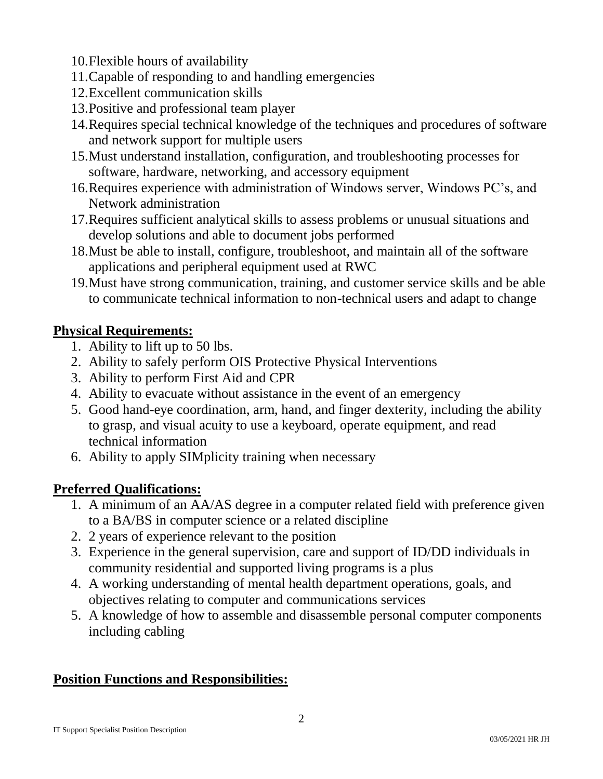- 10.Flexible hours of availability
- 11.Capable of responding to and handling emergencies
- 12.Excellent communication skills
- 13.Positive and professional team player
- 14.Requires special technical knowledge of the techniques and procedures of software and network support for multiple users
- 15.Must understand installation, configuration, and troubleshooting processes for software, hardware, networking, and accessory equipment
- 16.Requires experience with administration of Windows server, Windows PC's, and Network administration
- 17.Requires sufficient analytical skills to assess problems or unusual situations and develop solutions and able to document jobs performed
- 18.Must be able to install, configure, troubleshoot, and maintain all of the software applications and peripheral equipment used at RWC
- 19.Must have strong communication, training, and customer service skills and be able to communicate technical information to non-technical users and adapt to change

### **Physical Requirements:**

- 1. Ability to lift up to 50 lbs.
- 2. Ability to safely perform OIS Protective Physical Interventions
- 3. Ability to perform First Aid and CPR
- 4. Ability to evacuate without assistance in the event of an emergency
- 5. Good hand-eye coordination, arm, hand, and finger dexterity, including the ability to grasp, and visual acuity to use a keyboard, operate equipment, and read technical information
- 6. Ability to apply SIMplicity training when necessary

# **Preferred Qualifications:**

- 1. A minimum of an AA/AS degree in a computer related field with preference given to a BA/BS in computer science or a related discipline
- 2. 2 years of experience relevant to the position
- 3. Experience in the general supervision, care and support of ID/DD individuals in community residential and supported living programs is a plus
- 4. A working understanding of mental health department operations, goals, and objectives relating to computer and communications services
- 5. A knowledge of how to assemble and disassemble personal computer components including cabling

# **Position Functions and Responsibilities:**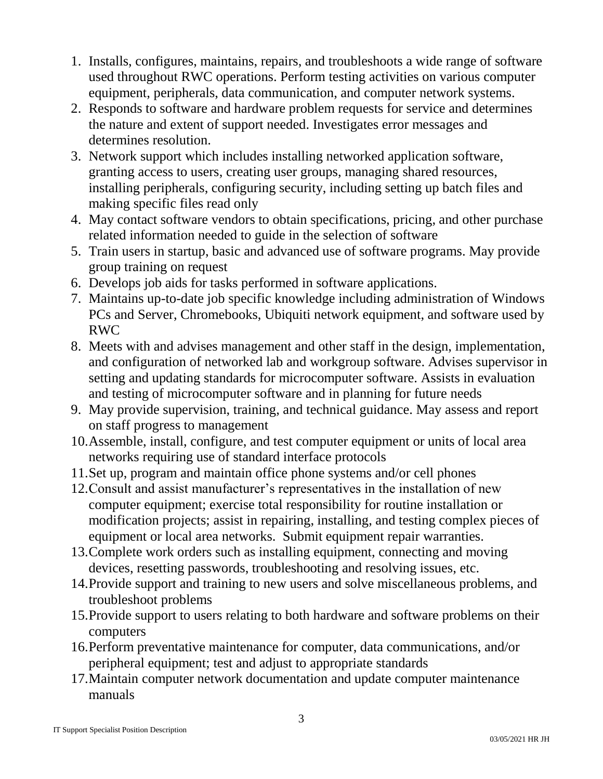- 1. Installs, configures, maintains, repairs, and troubleshoots a wide range of software used throughout RWC operations. Perform testing activities on various computer equipment, peripherals, data communication, and computer network systems.
- 2. Responds to software and hardware problem requests for service and determines the nature and extent of support needed. Investigates error messages and determines resolution.
- 3. Network support which includes installing networked application software, granting access to users, creating user groups, managing shared resources, installing peripherals, configuring security, including setting up batch files and making specific files read only
- 4. May contact software vendors to obtain specifications, pricing, and other purchase related information needed to guide in the selection of software
- 5. Train users in startup, basic and advanced use of software programs. May provide group training on request
- 6. Develops job aids for tasks performed in software applications.
- 7. Maintains up-to-date job specific knowledge including administration of Windows PCs and Server, Chromebooks, Ubiquiti network equipment, and software used by RWC
- 8. Meets with and advises management and other staff in the design, implementation, and configuration of networked lab and workgroup software. Advises supervisor in setting and updating standards for microcomputer software. Assists in evaluation and testing of microcomputer software and in planning for future needs
- 9. May provide supervision, training, and technical guidance. May assess and report on staff progress to management
- 10.Assemble, install, configure, and test computer equipment or units of local area networks requiring use of standard interface protocols
- 11.Set up, program and maintain office phone systems and/or cell phones
- 12.Consult and assist manufacturer's representatives in the installation of new computer equipment; exercise total responsibility for routine installation or modification projects; assist in repairing, installing, and testing complex pieces of equipment or local area networks. Submit equipment repair warranties.
- 13.Complete work orders such as installing equipment, connecting and moving devices, resetting passwords, troubleshooting and resolving issues, etc.
- 14.Provide support and training to new users and solve miscellaneous problems, and troubleshoot problems
- 15.Provide support to users relating to both hardware and software problems on their computers
- 16.Perform preventative maintenance for computer, data communications, and/or peripheral equipment; test and adjust to appropriate standards
- 17.Maintain computer network documentation and update computer maintenance manuals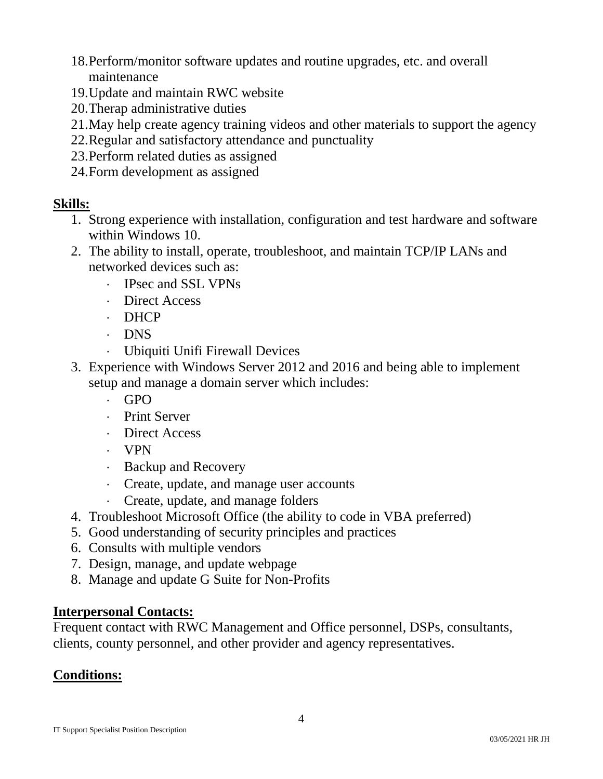- 18.Perform/monitor software updates and routine upgrades, etc. and overall maintenance
- 19.Update and maintain RWC website
- 20.Therap administrative duties
- 21.May help create agency training videos and other materials to support the agency
- 22.Regular and satisfactory attendance and punctuality
- 23.Perform related duties as assigned
- 24.Form development as assigned

### **Skills:**

- 1. Strong experience with installation, configuration and test hardware and software within Windows 10.
- 2. The ability to install, operate, troubleshoot, and maintain TCP/IP LANs and networked devices such as:
	- IPsec and SSL VPNs
	- Direct Access
	- . DHCP
	- . DNS
	- Ubiquiti Unifi Firewall Devices
- 3. Experience with Windows Server 2012 and 2016 and being able to implement setup and manage a domain server which includes:
	- GPO
	- Print Server
	- **Direct Access**
	- . VPN
	- Backup and Recovery
	- Create, update, and manage user accounts
	- Create, update, and manage folders
- 4. Troubleshoot Microsoft Office (the ability to code in VBA preferred)
- 5. Good understanding of security principles and practices
- 6. Consults with multiple vendors
- 7. Design, manage, and update webpage
- 8. Manage and update G Suite for Non-Profits

#### **Interpersonal Contacts:**

Frequent contact with RWC Management and Office personnel, DSPs, consultants, clients, county personnel, and other provider and agency representatives.

# **Conditions:**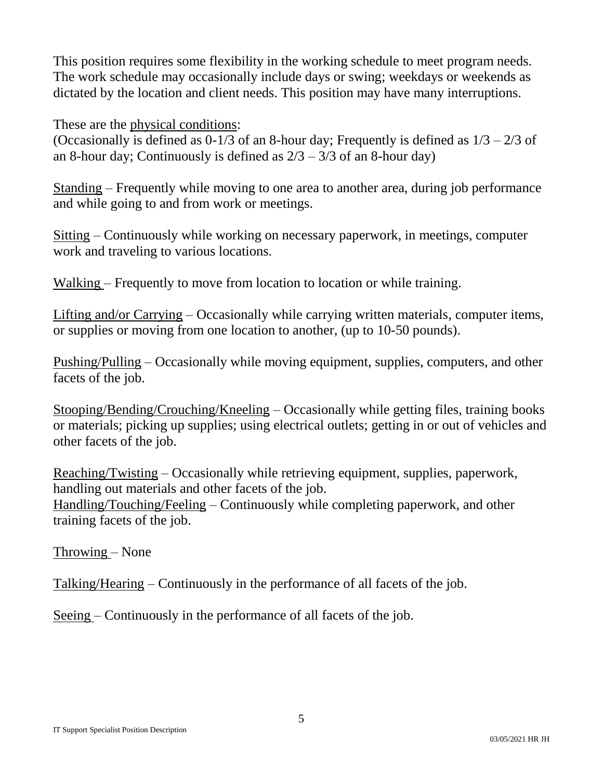This position requires some flexibility in the working schedule to meet program needs. The work schedule may occasionally include days or swing; weekdays or weekends as dictated by the location and client needs. This position may have many interruptions.

These are the physical conditions:

(Occasionally is defined as  $0-1/3$  of an 8-hour day; Frequently is defined as  $1/3 - 2/3$  of an 8-hour day; Continuously is defined as  $2/3 - 3/3$  of an 8-hour day)

Standing – Frequently while moving to one area to another area, during job performance and while going to and from work or meetings.

Sitting – Continuously while working on necessary paperwork, in meetings, computer work and traveling to various locations.

Walking – Frequently to move from location to location or while training.

Lifting and/or Carrying – Occasionally while carrying written materials, computer items, or supplies or moving from one location to another, (up to 10-50 pounds).

Pushing/Pulling – Occasionally while moving equipment, supplies, computers, and other facets of the job.

Stooping/Bending/Crouching/Kneeling – Occasionally while getting files, training books or materials; picking up supplies; using electrical outlets; getting in or out of vehicles and other facets of the job.

Reaching/Twisting – Occasionally while retrieving equipment, supplies, paperwork, handling out materials and other facets of the job. Handling/Touching/Feeling – Continuously while completing paperwork, and other training facets of the job.

Throwing – None

Talking/Hearing – Continuously in the performance of all facets of the job.

Seeing – Continuously in the performance of all facets of the job.